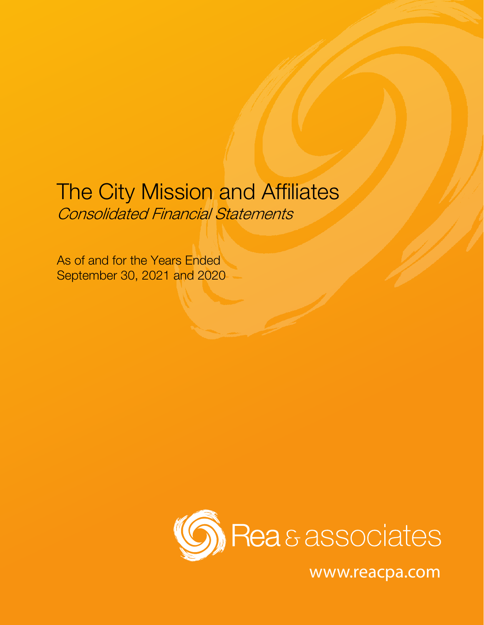# The City Mission and Affiliates Consolidated Financial Statements

As of and for the Years Ended September 30, 2021 and 2020



www.reacpa.com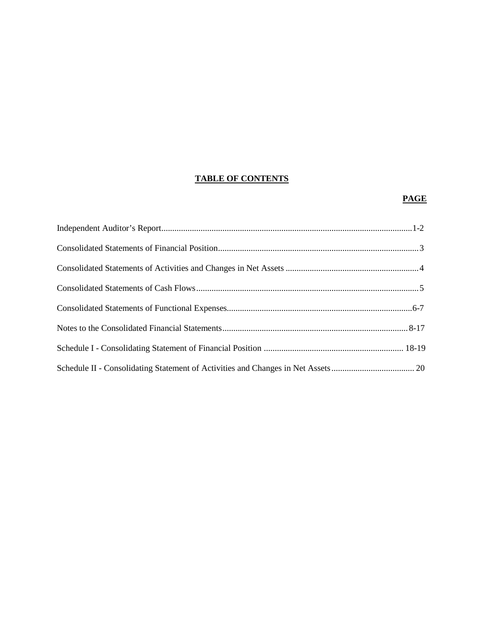# **TABLE OF CONTENTS**

# **PAGE**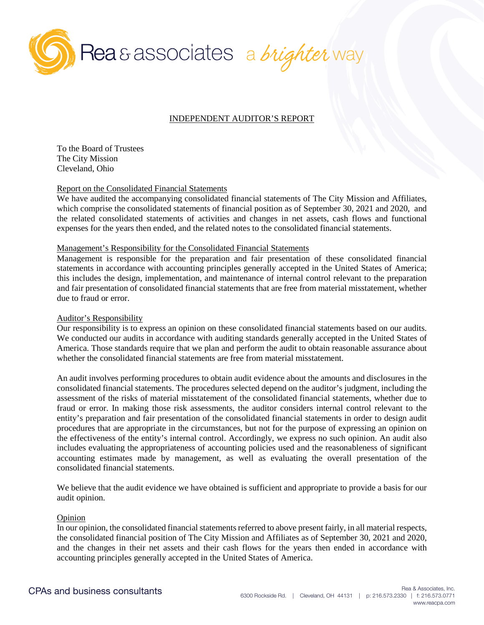

## INDEPENDENT AUDITOR'S REPORT

To the Board of Trustees The City Mission Cleveland, Ohio

#### Report on the Consolidated Financial Statements

We have audited the accompanying consolidated financial statements of The City Mission and Affiliates, which comprise the consolidated statements of financial position as of September 30, 2021 and 2020, and the related consolidated statements of activities and changes in net assets, cash flows and functional expenses for the years then ended, and the related notes to the consolidated financial statements.

#### Management's Responsibility for the Consolidated Financial Statements

Management is responsible for the preparation and fair presentation of these consolidated financial statements in accordance with accounting principles generally accepted in the United States of America; this includes the design, implementation, and maintenance of internal control relevant to the preparation and fair presentation of consolidated financial statements that are free from material misstatement, whether due to fraud or error.

## Auditor's Responsibility

Our responsibility is to express an opinion on these consolidated financial statements based on our audits. We conducted our audits in accordance with auditing standards generally accepted in the United States of America. Those standards require that we plan and perform the audit to obtain reasonable assurance about whether the consolidated financial statements are free from material misstatement.

An audit involves performing procedures to obtain audit evidence about the amounts and disclosures in the consolidated financial statements. The procedures selected depend on the auditor's judgment, including the assessment of the risks of material misstatement of the consolidated financial statements, whether due to fraud or error. In making those risk assessments, the auditor considers internal control relevant to the entity's preparation and fair presentation of the consolidated financial statements in order to design audit procedures that are appropriate in the circumstances, but not for the purpose of expressing an opinion on the effectiveness of the entity's internal control. Accordingly, we express no such opinion. An audit also includes evaluating the appropriateness of accounting policies used and the reasonableness of significant accounting estimates made by management, as well as evaluating the overall presentation of the consolidated financial statements.

We believe that the audit evidence we have obtained is sufficient and appropriate to provide a basis for our audit opinion.

#### Opinion

In our opinion, the consolidated financial statements referred to above present fairly, in all material respects, the consolidated financial position of The City Mission and Affiliates as of September 30, 2021 and 2020, and the changes in their net assets and their cash flows for the years then ended in accordance with accounting principles generally accepted in the United States of America.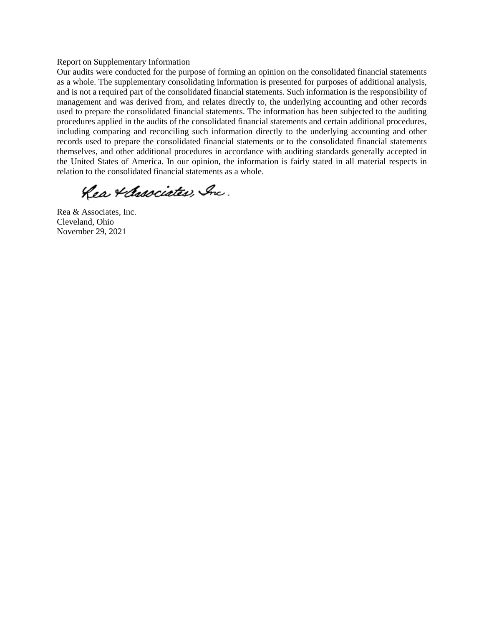#### Report on Supplementary Information

Our audits were conducted for the purpose of forming an opinion on the consolidated financial statements as a whole. The supplementary consolidating information is presented for purposes of additional analysis, and is not a required part of the consolidated financial statements. Such information is the responsibility of management and was derived from, and relates directly to, the underlying accounting and other records used to prepare the consolidated financial statements. The information has been subjected to the auditing procedures applied in the audits of the consolidated financial statements and certain additional procedures, including comparing and reconciling such information directly to the underlying accounting and other records used to prepare the consolidated financial statements or to the consolidated financial statements themselves, and other additional procedures in accordance with auditing standards generally accepted in the United States of America. In our opinion, the information is fairly stated in all material respects in relation to the consolidated financial statements as a whole.

Rea & Associates, Inc.

Rea & Associates, Inc. Cleveland, Ohio November 29, 2021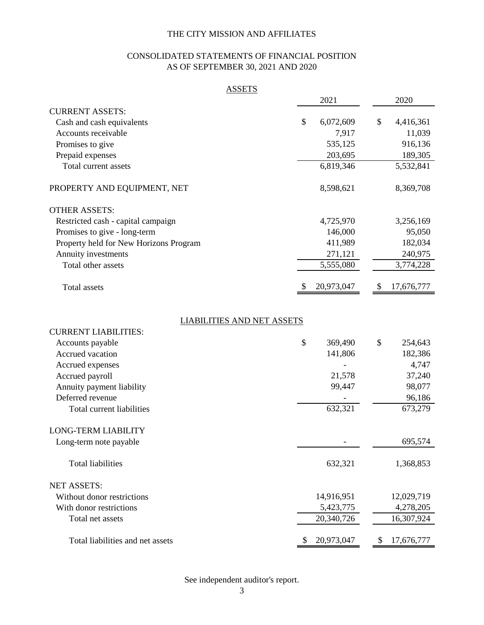# CONSOLIDATED STATEMENTS OF FINANCIAL POSITION AS OF SEPTEMBER 30, 2021 AND 2020

| <b>ASSETS</b>                          |                  |                  |
|----------------------------------------|------------------|------------------|
|                                        | 2021             | 2020             |
| <b>CURRENT ASSETS:</b>                 |                  |                  |
| Cash and cash equivalents              | \$<br>6,072,609  | \$<br>4,416,361  |
| Accounts receivable                    | 7,917            | 11,039           |
| Promises to give                       | 535,125          | 916,136          |
| Prepaid expenses                       | 203,695          | 189,305          |
| Total current assets                   | 6,819,346        | 5,532,841        |
| PROPERTY AND EQUIPMENT, NET            | 8,598,621        | 8,369,708        |
| <b>OTHER ASSETS:</b>                   |                  |                  |
| Restricted cash - capital campaign     | 4,725,970        | 3,256,169        |
| Promises to give - long-term           | 146,000          | 95,050           |
| Property held for New Horizons Program | 411,989          | 182,034          |
| Annuity investments                    | 271,121          | 240,975          |
| Total other assets                     | 5,555,080        | 3,774,228        |
| <b>Total</b> assets                    | 20,973,047<br>\$ | 17,676,777<br>\$ |
| <b>LIABILITIES AND NET ASSETS</b>      |                  |                  |
| <b>CURRENT LIABILITIES:</b>            |                  |                  |
| Accounts payable                       | \$<br>369,490    | \$<br>254,643    |
| Accrued vacation                       | 141,806          | 182,386          |
| Accrued expenses                       |                  | 4,747            |
| Accrued payroll                        | 21,578           | 37,240           |
| Annuity payment liability              | 99,447           | 98,077           |
| Deferred revenue                       |                  | 96,186           |
| Total current liabilities              | 632,321          | 673,279          |
| <b>LONG-TERM LIABILITY</b>             |                  |                  |
| Long-term note payable                 |                  | 695,574          |
| <b>Total liabilities</b>               | 632,321          | 1,368,853        |
| <b>NET ASSETS:</b>                     |                  |                  |
| Without donor restrictions             | 14,916,951       | 12,029,719       |
| With donor restrictions                | 5,423,775        | 4,278,205        |
| Total net assets                       | 20,340,726       | 16,307,924       |
| Total liabilities and net assets       | 20,973,047<br>\$ | 17,676,777<br>\$ |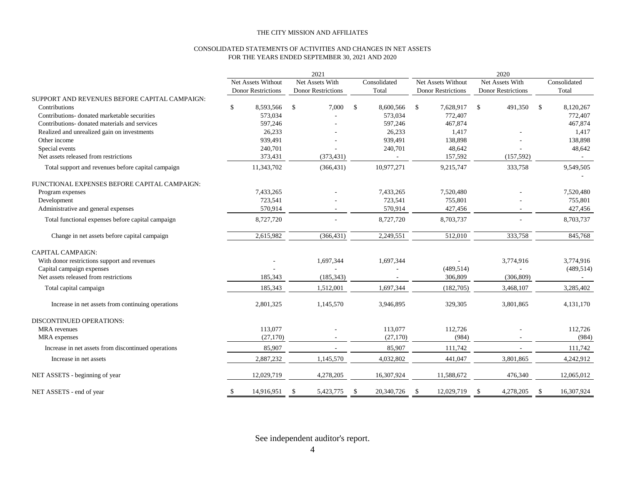#### CONSOLIDATED STATEMENTS OF ACTIVITIES AND CHANGES IN NET ASSETS FOR THE YEARS ENDED SEPTEMBER 30, 2021 AND 2020

|                                                     | 2021          |                                                 |              | 2020                                         |               |                       |               |                                                 |               |                                              |                    |                       |
|-----------------------------------------------------|---------------|-------------------------------------------------|--------------|----------------------------------------------|---------------|-----------------------|---------------|-------------------------------------------------|---------------|----------------------------------------------|--------------------|-----------------------|
|                                                     |               | Net Assets Without<br><b>Donor Restrictions</b> |              | Net Assets With<br><b>Donor Restrictions</b> |               | Consolidated<br>Total |               | Net Assets Without<br><b>Donor Restrictions</b> |               | Net Assets With<br><b>Donor Restrictions</b> |                    | Consolidated<br>Total |
| SUPPORT AND REVENUES BEFORE CAPITAL CAMPAIGN:       |               |                                                 |              |                                              |               |                       |               |                                                 |               |                                              |                    |                       |
| Contributions                                       | \$            | 8,593,566                                       | $\mathbb{S}$ | 7,000                                        | $\mathbb{S}$  | 8,600,566             | $\mathbb{S}$  | 7,628,917                                       | $\mathcal{S}$ | 491,350                                      | $\mathbf{\hat{s}}$ | 8,120,267             |
| Contributions-donated marketable securities         |               | 573,034                                         |              |                                              |               | 573,034               |               | 772,407                                         |               |                                              |                    | 772,407               |
| Contributions- donated materials and services       |               | 597.246                                         |              |                                              |               | 597.246               |               | 467.874                                         |               |                                              |                    | 467,874               |
| Realized and unrealized gain on investments         |               | 26,233                                          |              |                                              |               | 26,233                |               | 1,417                                           |               |                                              |                    | 1,417                 |
| Other income                                        |               | 939,491                                         |              |                                              |               | 939,491               |               | 138,898                                         |               |                                              |                    | 138,898               |
| Special events                                      |               | 240,701                                         |              |                                              |               | 240,701               |               | 48,642                                          |               |                                              |                    | 48,642                |
| Net assets released from restrictions               |               | 373,431                                         |              | (373, 431)                                   |               |                       |               | 157,592                                         |               | (157, 592)                                   |                    |                       |
| Total support and revenues before capital campaign  |               | 11,343,702                                      |              | (366, 431)                                   |               | 10,977,271            |               | 9,215,747                                       |               | 333,758                                      |                    | 9,549,505             |
| FUNCTIONAL EXPENSES BEFORE CAPITAL CAMPAIGN:        |               |                                                 |              |                                              |               |                       |               |                                                 |               |                                              |                    |                       |
| Program expenses                                    |               | 7,433,265                                       |              |                                              |               | 7,433,265             |               | 7,520,480                                       |               |                                              |                    | 7,520,480             |
| Development                                         |               | 723,541                                         |              |                                              |               | 723,541               |               | 755,801                                         |               |                                              |                    | 755,801               |
| Administrative and general expenses                 |               | 570,914                                         |              |                                              |               | 570,914               |               | 427,456                                         |               |                                              |                    | 427,456               |
| Total functional expenses before capital campaign   |               | 8,727,720                                       |              |                                              |               | 8,727,720             |               | 8,703,737                                       |               |                                              |                    | 8,703,737             |
| Change in net assets before capital campaign        |               | 2,615,982                                       |              | (366, 431)                                   |               | 2,249,551             |               | 512,010                                         |               | 333,758                                      |                    | 845,768               |
| <b>CAPITAL CAMPAIGN:</b>                            |               |                                                 |              |                                              |               |                       |               |                                                 |               |                                              |                    |                       |
| With donor restrictions support and revenues        |               |                                                 |              | 1,697,344                                    |               | 1,697,344             |               |                                                 |               | 3,774,916                                    |                    | 3,774,916             |
| Capital campaign expenses                           |               |                                                 |              |                                              |               |                       |               | (489, 514)                                      |               |                                              |                    | (489, 514)            |
| Net assets released from restrictions               |               | 185,343                                         |              | (185, 343)                                   |               |                       |               | 306,809                                         |               | (306, 809)                                   |                    | $\sim$                |
| Total capital campaign                              |               | 185,343                                         |              | 1,512,001                                    |               | 1,697,344             |               | (182,705)                                       |               | 3,468,107                                    |                    | 3,285,402             |
| Increase in net assets from continuing operations   |               | 2,801,325                                       |              | 1,145,570                                    |               | 3,946,895             |               | 329,305                                         |               | 3,801,865                                    |                    | 4,131,170             |
| <b>DISCONTINUED OPERATIONS:</b>                     |               |                                                 |              |                                              |               |                       |               |                                                 |               |                                              |                    |                       |
| <b>MRA</b> revenues                                 |               | 113,077                                         |              |                                              |               | 113,077               |               | 112,726                                         |               |                                              |                    | 112,726               |
| MRA expenses                                        |               | (27, 170)                                       |              |                                              |               | (27, 170)             |               | (984)                                           |               |                                              |                    | (984)                 |
| Increase in net assets from discontinued operations |               | 85,907                                          |              |                                              |               | 85,907                |               | 111,742                                         |               | $\sim$                                       |                    | 111,742               |
| Increase in net assets                              |               | 2,887,232                                       |              | 1,145,570                                    |               | 4,032,802             |               | 441,047                                         |               | 3,801,865                                    |                    | 4,242,912             |
| NET ASSETS - beginning of year                      |               | 12,029,719                                      |              | 4,278,205                                    |               | 16,307,924            |               | 11,588,672                                      |               | 476,340                                      |                    | 12,065,012            |
| NET ASSETS - end of year                            | <sup>\$</sup> | 14,916,951                                      | -S           | 5,423,775                                    | <sup>\$</sup> | 20,340,726            | <sup>\$</sup> | 12,029,719                                      | -S            | 4,278,205                                    | -S                 | 16,307,924            |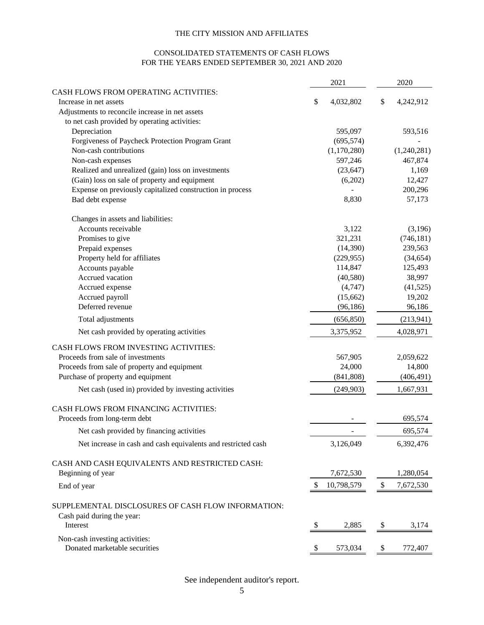#### CONSOLIDATED STATEMENTS OF CASH FLOWS FOR THE YEARS ENDED SEPTEMBER 30, 2021 AND 2020

|                                                               |     | 2021        | 2020            |
|---------------------------------------------------------------|-----|-------------|-----------------|
| <b>CASH FLOWS FROM OPERATING ACTIVITIES:</b>                  |     |             |                 |
| Increase in net assets                                        | \$  | 4,032,802   | \$<br>4,242,912 |
| Adjustments to reconcile increase in net assets               |     |             |                 |
| to net cash provided by operating activities:                 |     |             |                 |
| Depreciation                                                  |     | 595,097     | 593,516         |
| Forgiveness of Paycheck Protection Program Grant              |     | (695, 574)  |                 |
| Non-cash contributions                                        |     | (1,170,280) | (1,240,281)     |
| Non-cash expenses                                             |     | 597,246     | 467,874         |
| Realized and unrealized (gain) loss on investments            |     | (23, 647)   | 1,169           |
| (Gain) loss on sale of property and equipment                 |     | (6,202)     | 12,427          |
| Expense on previously capitalized construction in process     |     |             | 200,296         |
| Bad debt expense                                              |     | 8,830       | 57,173          |
| Changes in assets and liabilities:                            |     |             |                 |
| Accounts receivable                                           |     | 3,122       | (3,196)         |
| Promises to give                                              |     | 321,231     | (746, 181)      |
| Prepaid expenses                                              |     | (14,390)    | 239,563         |
| Property held for affiliates                                  |     | (229, 955)  | (34, 654)       |
| Accounts payable                                              |     | 114,847     | 125,493         |
| Accrued vacation                                              |     | (40,580)    | 38,997          |
| Accrued expense                                               |     | (4,747)     | (41,525)        |
| Accrued payroll                                               |     | (15,662)    | 19,202          |
| Deferred revenue                                              |     | (96, 186)   | 96,186          |
| Total adjustments                                             |     | (656, 850)  | (213,941)       |
| Net cash provided by operating activities                     |     | 3,375,952   | 4,028,971       |
| CASH FLOWS FROM INVESTING ACTIVITIES:                         |     |             |                 |
| Proceeds from sale of investments                             |     | 567,905     | 2,059,622       |
| Proceeds from sale of property and equipment                  |     | 24,000      | 14,800          |
| Purchase of property and equipment                            |     | (841, 808)  | (406, 491)      |
| Net cash (used in) provided by investing activities           |     | (249,903)   | 1,667,931       |
| CASH FLOWS FROM FINANCING ACTIVITIES:                         |     |             |                 |
| Proceeds from long-term debt                                  |     |             | 695,574         |
| Net cash provided by financing activities                     |     |             | 695,574         |
| Net increase in cash and cash equivalents and restricted cash |     | 3,126,049   | 6,392,476       |
| CASH AND CASH EQUIVALENTS AND RESTRICTED CASH:                |     |             |                 |
| Beginning of year                                             |     | 7,672,530   | 1,280,054       |
| End of year                                                   |     | 10,798,579  | 7,672,530       |
| SUPPLEMENTAL DISCLOSURES OF CASH FLOW INFORMATION:            |     |             |                 |
| Cash paid during the year:                                    |     |             |                 |
| Interest                                                      | -\$ | 2,885       | \$<br>3,174     |
| Non-cash investing activities:                                |     |             |                 |
| Donated marketable securities                                 |     | 573,034     | 772,407         |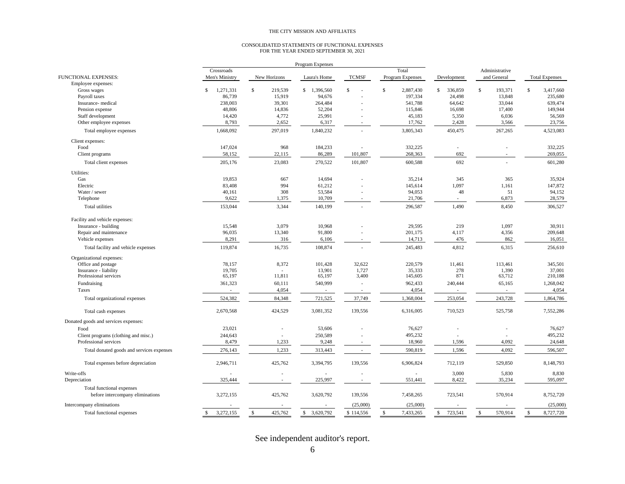# CONSOLIDATED STATEMENTS OF FUNCTIONAL EXPENSES FOR THE YEAR ENDED SEPTEMBER 30, 2021

|                                                               | Program Expenses         |                         |                          |                          |                            |                          |                |                           |
|---------------------------------------------------------------|--------------------------|-------------------------|--------------------------|--------------------------|----------------------------|--------------------------|----------------|---------------------------|
|                                                               | Crossroads               |                         |                          |                          | Total                      |                          | Administrative |                           |
| <b>FUNCTIONAL EXPENSES:</b>                                   | Men's Ministry           | New Horizons            | Laura's Home             | <b>TCMSF</b>             | Program Expenses           | Development              | and General    | <b>Total Expenses</b>     |
| Employee expenses:                                            |                          |                         |                          |                          |                            |                          |                |                           |
| Gross wages                                                   | S.<br>1,271,331          | $\mathbb{S}$<br>219,539 | \$1,396,560              | $\mathbb{S}$<br>J.       | ${\mathbb S}$<br>2,887,430 | $\mathbb{S}$<br>336,859  | \$<br>193,371  | $\mathbb{S}$<br>3,417,660 |
| Payroll taxes                                                 | 86,739                   | 15,919                  | 94,676                   |                          | 197,334                    | 24,498                   | 13,848         | 235,680                   |
| Insurance- medical                                            | 238,003                  | 39,301                  | 264,484                  |                          | 541,788                    | 64,642                   | 33,044         | 639,474                   |
| Pension expense                                               | 48,806                   | 14,836                  | 52,204                   |                          | 115,846                    | 16,698                   | 17,400         | 149,944                   |
| Staff development                                             | 14,420                   | 4,772                   | 25,991                   |                          | 45,183                     | 5,350                    | 6,036          | 56,569                    |
| Other employee expenses                                       | 8,793                    | 2,652                   | 6,317                    |                          | 17,762                     | 2,428                    | 3,566          | 23,756                    |
| Total employee expenses                                       | 1,668,092                | 297,019                 | 1,840,232                |                          | 3,805,343                  | 450,475                  | 267,265        | 4,523,083                 |
| Client expenses:                                              |                          |                         |                          |                          |                            |                          |                |                           |
| Food                                                          | 147,024                  | 968                     | 184,233                  |                          | 332,225                    |                          |                | 332,225                   |
| Client programs                                               | 58,152                   | 22,115                  | 86,289                   | 101,807                  | 268,363                    | 692                      |                | 269,055                   |
| Total client expenses                                         | 205,176                  | 23,083                  | 270,522                  | 101,807                  | 600,588                    | 692                      |                | 601,280                   |
| Utilities:                                                    |                          |                         |                          |                          |                            |                          |                |                           |
| Gas                                                           | 19,853                   | 667                     | 14,694                   |                          | 35,214                     | 345                      | 365            | 35,924                    |
| Electric                                                      | 83,408                   | 994                     | 61,212                   |                          | 145,614                    | 1,097                    | 1,161          | 147,872                   |
| Water / sewer                                                 | 40,161                   | 308                     | 53,584                   |                          | 94,053                     | 48                       | 51             | 94,152                    |
| Telephone                                                     | 9,622                    | 1,375                   | 10,709                   | ÷                        | 21,706                     | $\sim$                   | 6,873          | 28,579                    |
| Total utilities                                               | 153,044                  | 3,344                   | 140,199                  |                          | 296,587                    | 1,490                    | 8,450          | 306,527                   |
| Facility and vehicle expenses:                                |                          |                         |                          |                          |                            |                          |                |                           |
| Insurance - building                                          | 15,548                   | 3,079                   | 10,968                   |                          | 29,595                     | 219                      | 1,097          | 30,911                    |
| Repair and maintenance                                        | 96,035                   | 13,340                  | 91,800                   |                          | 201,175                    | 4,117                    | 4,356          | 209,648                   |
| Vehicle expenses                                              | 8,291                    | 316                     | 6,106                    |                          | 14,713                     | 476                      | 862            | 16,051                    |
| Total facility and vehicle expenses                           | 119,874                  | 16,735                  | 108,874                  |                          | 245,483                    | 4,812                    | 6,315          | 256,610                   |
| Organizational expenses:                                      |                          |                         |                          |                          |                            |                          |                |                           |
| Office and postage                                            | 78,157                   | 8,372                   | 101,428                  | 32,622                   | 220,579                    | 11,461                   | 113,461        | 345,501                   |
| Insurance - liability                                         | 19,705                   |                         | 13,901                   | 1,727                    | 35,333                     | 278                      | 1,390          | 37,001                    |
| Professional services                                         | 65,197                   | 11,811                  | 65,197                   | 3,400                    | 145,605                    | 871                      | 63,712         | 210,188                   |
| Fundraising                                                   | 361,323                  | 60,111                  | 540,999                  | ٠                        | 962,433                    | 240,444                  | 65,165         | 1,268,042                 |
| Taxes                                                         | $\overline{\phantom{a}}$ | 4,054                   | $\overline{\phantom{a}}$ | ×,                       | 4,054                      | $\overline{\phantom{a}}$ | $\sim$         | 4,054                     |
| Total organizational expenses                                 | 524,382                  | 84,348                  | 721,525                  | 37,749                   | 1,368,004                  | 253,054                  | 243,728        | 1,864,786                 |
| Total cash expenses                                           | 2,670,568                | 424,529                 | 3,081,352                | 139,556                  | 6,316,005                  | 710,523                  | 525,758        | 7,552,286                 |
| Donated goods and services expenses:                          |                          |                         |                          |                          |                            |                          |                |                           |
| Food                                                          | 23,021                   | $\sim$                  | 53,606                   |                          | 76,627                     |                          |                | 76,627                    |
| Client programs (clothing and misc.)                          | 244,643                  |                         | 250,589                  |                          | 495,232                    |                          |                | 495,232                   |
| Professional services                                         | 8,479                    | 1,233                   | 9,248                    |                          | 18,960                     | 1,596                    | 4,092          | 24,648                    |
| Total donated goods and services expenses                     | 276,143                  | 1,233                   | 313,443                  | $\overline{\phantom{a}}$ | 590,819                    | 1,596                    | 4,092          | 596,507                   |
| Total expenses before depreciation                            | 2,946,711                | 425,762                 | 3,394,795                | 139,556                  | 6,906,824                  | 712,119                  | 529,850        | 8,148,793                 |
| Write-offs                                                    |                          |                         |                          |                          |                            | 3,000                    | 5,830          | 8,830                     |
|                                                               | 325,444                  |                         | 225,997                  |                          |                            | 8,422                    | 35,234         | 595,097                   |
| Depreciation                                                  |                          |                         |                          | ×,                       | 551,441                    |                          |                |                           |
| Total functional expenses<br>before intercompany eliminations | 3,272,155                | 425,762                 | 3,620,792                | 139,556                  | 7,458,265                  | 723,541                  | 570,914        | 8,752,720                 |
|                                                               |                          |                         |                          |                          |                            |                          |                | (25,000)                  |
| Intercompany eliminations                                     |                          |                         |                          | (25,000)                 | (25,000)                   |                          |                |                           |
| Total functional expenses                                     | 3,272,155<br>-S          | 425,762<br>\$           | 3,620,792<br>\$          | \$114,556                | 7,433,265<br>\$            | 723,541<br>S.            | 570,914<br>\$  | 8,727,720<br>\$           |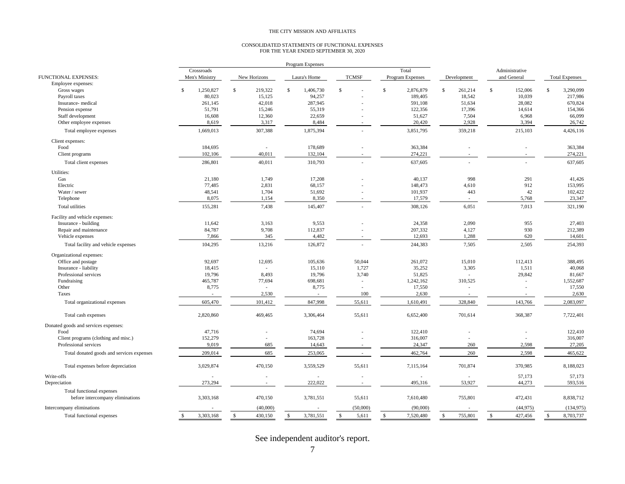#### CONSOLIDATED STATEMENTS OF FUNCTIONAL EXPENSES FOR THE YEAR ENDED SEPTEMBER 30, 2020

|                                           |                                 |                          | Program Expenses                |                          |                  |                               |                               |                                 |
|-------------------------------------------|---------------------------------|--------------------------|---------------------------------|--------------------------|------------------|-------------------------------|-------------------------------|---------------------------------|
|                                           | Crossroads                      |                          |                                 |                          | Total            |                               | Administrative                |                                 |
| <b>FUNCTIONAL EXPENSES:</b>               | Men's Ministry                  | New Horizons             | Laura's Home                    | <b>TCMSF</b>             | Program Expenses | Development                   | and General                   | <b>Total Expenses</b>           |
| Employee expenses:                        |                                 |                          |                                 |                          |                  |                               |                               |                                 |
| Gross wages                               | $\mathbf{\hat{S}}$<br>1,250,827 | \$<br>219,322            | \$<br>1,406,730                 | \$                       | \$.<br>2,876,879 | $\mathbb{S}$<br>261,214       | \$<br>152,006                 | Ŝ<br>3,290,099                  |
| Payroll taxes                             | 80,023                          | 15,125                   | 94,257                          |                          | 189,405          | 18,542                        | 10,039                        | 217,986                         |
| Insurance-medical                         | 261,145                         | 42,018                   | 287,945                         |                          | 591,108          | 51,634                        | 28,082                        | 670,824                         |
| Pension expense                           | 51,791                          | 15,246                   | 55,319                          |                          | 122,356          | 17,396                        | 14,614                        | 154,366                         |
| Staff development                         | 16,608                          | 12,360                   | 22,659                          |                          | 51,627           | 7,504                         | 6,968                         | 66,099                          |
| Other employee expenses                   | 8,619                           | 3,317                    | 8,484                           |                          | 20,420           | 2,928                         | 3,394                         | 26,742                          |
| Total employee expenses                   | 1,669,013                       | 307,388                  | 1,875,394                       |                          | 3,851,795        | 359,218                       | 215,103                       | 4,426,116                       |
| Client expenses:                          |                                 |                          |                                 |                          |                  |                               |                               |                                 |
| Food                                      | 184,695                         |                          | 178,689                         |                          | 363,384          |                               | Ĭ.                            | 363,384                         |
| Client programs                           | 102,106                         | 40,011                   | 132,104                         |                          | 274,221          |                               |                               | 274,221                         |
| Total client expenses                     | 286,801                         | 40,011                   | 310,793                         |                          | 637,605          |                               |                               | 637,605                         |
| Utilities:                                |                                 |                          |                                 |                          |                  |                               |                               |                                 |
| Gas                                       | 21,180                          | 1,749                    | 17,208                          |                          | 40,137           | 998                           | 291                           | 41,426                          |
| Electric                                  | 77,485                          | 2,831                    | 68,157                          |                          | 148,473          | 4,610                         | 912                           | 153,995                         |
| Water / sewer                             | 48,541                          | 1,704                    | 51,692                          |                          | 101,937          | 443                           | 42                            | 102,422                         |
| Telephone                                 | 8,075                           | 1,154                    | 8,350                           |                          | 17,579           |                               | 5,768                         | 23,347                          |
| Total utilities                           | 155,281                         | 7,438                    | 145,407                         |                          | 308,126          | 6,051                         | 7,013                         | 321,190                         |
| Facility and vehicle expenses:            |                                 |                          |                                 |                          |                  |                               |                               |                                 |
| Insurance - building                      | 11.642                          | 3.163                    | 9.553                           |                          | 24,358           | 2.090                         | 955                           | 27,403                          |
| Repair and maintenance                    | 84,787                          | 9,708                    | 112,837                         |                          | 207,332          | 4,127                         | 930                           | 212,389                         |
| Vehicle expenses                          | 7,866                           | 345                      | 4,482                           |                          | 12,693           | 1,288                         | 620                           | 14,601                          |
| Total facility and vehicle expenses       | 104,295                         | 13,216                   | 126,872                         |                          | 244,383          | 7,505                         | 2,505                         | 254,393                         |
| Organizational expenses:                  |                                 |                          |                                 |                          |                  |                               |                               |                                 |
| Office and postage                        | 92,697                          | 12,695                   | 105,636                         | 50,044                   | 261,072          | 15,010                        | 112,413                       | 388,495                         |
| Insurance - liability                     | 18.415                          |                          | 15,110                          | 1,727                    | 35,252           | 3,305                         | 1,511                         | 40,068                          |
| Professional services                     | 19,796                          | 8,493                    | 19,796                          | 3,740                    | 51,825           |                               | 29,842                        | 81,667                          |
| Fundraising                               | 465,787                         | 77,694                   | 698,681                         | $\overline{\phantom{a}}$ | 1,242,162        | 310,525                       | ÷,                            | 1,552,687                       |
| Other                                     | 8,775                           | $\sim$                   | 8,775                           | $\overline{\phantom{a}}$ | 17,550           |                               | ÷,                            | 17,550                          |
| Taxes                                     | $\sim$                          | 2,530                    | $\sim$                          | 100                      | 2,630            |                               | ÷.                            | 2,630                           |
| Total organizational expenses             | 605,470                         | 101,412                  | 847,998                         | 55,611                   | 1,610,491        | 328,840                       | 143,766                       | 2,083,097                       |
|                                           |                                 |                          |                                 |                          |                  |                               |                               |                                 |
| Total cash expenses                       | 2,820,860                       | 469,465                  | 3,306,464                       | 55,611                   | 6,652,400        | 701,614                       | 368,387                       | 7,722,401                       |
| Donated goods and services expenses:      |                                 |                          |                                 |                          |                  |                               |                               |                                 |
| Food                                      | 47,716                          |                          | 74,694                          |                          | 122,410          |                               | ÷,                            | 122,410                         |
| Client programs (clothing and misc.)      | 152,279                         |                          | 163,728                         |                          | 316,007          |                               |                               | 316,007                         |
| Professional services                     | 9,019                           | 685                      | 14,643                          |                          | 24,347           | 260                           | 2,598                         | 27,205                          |
| Total donated goods and services expenses | 209,014                         | 685                      | 253,065                         |                          | 462,764          | 260                           | 2,598                         | 465,622                         |
| Total expenses before depreciation        | 3,029,874                       | 470,150                  | 3,559,529                       | 55,611                   | 7,115,164        | 701,874                       | 370,985                       | 8,188,023                       |
| Write-offs                                |                                 |                          |                                 |                          |                  |                               | 57,173                        | 57,173                          |
| Depreciation                              | 273,294                         |                          | 222,022                         |                          | 495,316          | 53,927                        | 44,273                        | 593,516                         |
| Total functional expenses                 |                                 |                          |                                 |                          |                  |                               |                               |                                 |
| before intercompany eliminations          | 3,303,168                       | 470,150                  | 3,781,551                       | 55,611                   | 7,610,480        | 755,801                       | 472,431                       | 8,838,712                       |
| Intercompany eliminations                 |                                 | (40,000)                 |                                 | (50,000)                 | (90,000)         |                               | (44, 975)                     | (134, 975)                      |
| Total functional expenses                 | 3.303.168<br>-\$                | 430,150<br>$\mathcal{S}$ | 3,781,551<br>$\mathbf{\hat{s}}$ | $\mathbf{s}$<br>5,611    | 7,520,480<br>-S  | 755,801<br>$\mathbf{\hat{s}}$ | $\mathbf{\hat{s}}$<br>427,456 | 8,703,737<br>$\mathbf{\hat{s}}$ |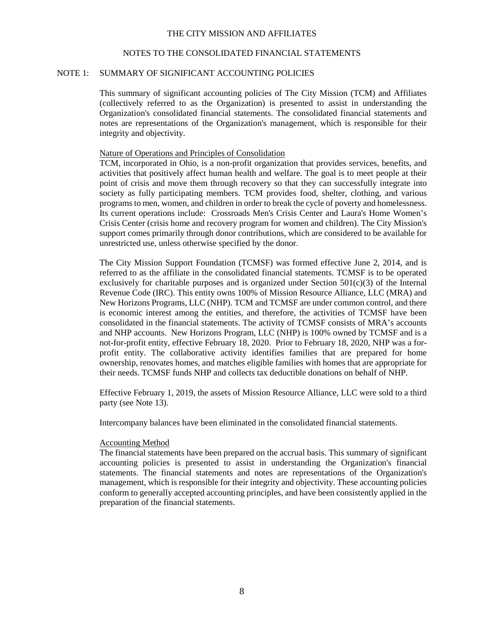#### NOTES TO THE CONSOLIDATED FINANCIAL STATEMENTS

#### NOTE 1: SUMMARY OF SIGNIFICANT ACCOUNTING POLICIES

This summary of significant accounting policies of The City Mission (TCM) and Affiliates (collectively referred to as the Organization) is presented to assist in understanding the Organization's consolidated financial statements. The consolidated financial statements and notes are representations of the Organization's management, which is responsible for their integrity and objectivity.

#### Nature of Operations and Principles of Consolidation

TCM, incorporated in Ohio, is a non-profit organization that provides services, benefits, and activities that positively affect human health and welfare. The goal is to meet people at their point of crisis and move them through recovery so that they can successfully integrate into society as fully participating members. TCM provides food, shelter, clothing, and various programs to men, women, and children in order to break the cycle of poverty and homelessness. Its current operations include: Crossroads Men's Crisis Center and Laura's Home Women's Crisis Center (crisis home and recovery program for women and children). The City Mission's support comes primarily through donor contributions, which are considered to be available for unrestricted use, unless otherwise specified by the donor.

The City Mission Support Foundation (TCMSF) was formed effective June 2, 2014, and is referred to as the affiliate in the consolidated financial statements. TCMSF is to be operated exclusively for charitable purposes and is organized under Section  $501(c)(3)$  of the Internal Revenue Code (IRC). This entity owns 100% of Mission Resource Alliance, LLC (MRA) and New Horizons Programs, LLC (NHP). TCM and TCMSF are under common control, and there is economic interest among the entities, and therefore, the activities of TCMSF have been consolidated in the financial statements. The activity of TCMSF consists of MRA's accounts and NHP accounts. New Horizons Program, LLC (NHP) is 100% owned by TCMSF and is a not-for-profit entity, effective February 18, 2020. Prior to February 18, 2020, NHP was a forprofit entity. The collaborative activity identifies families that are prepared for home ownership, renovates homes, and matches eligible families with homes that are appropriate for their needs. TCMSF funds NHP and collects tax deductible donations on behalf of NHP.

Effective February 1, 2019, the assets of Mission Resource Alliance, LLC were sold to a third party (see Note 13).

Intercompany balances have been eliminated in the consolidated financial statements.

#### Accounting Method

The financial statements have been prepared on the accrual basis. This summary of significant accounting policies is presented to assist in understanding the Organization's financial statements. The financial statements and notes are representations of the Organization's management, which is responsible for their integrity and objectivity. These accounting policies conform to generally accepted accounting principles, and have been consistently applied in the preparation of the financial statements.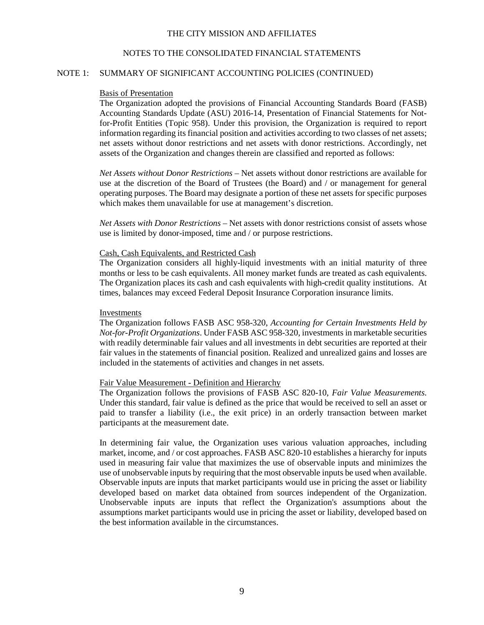#### NOTES TO THE CONSOLIDATED FINANCIAL STATEMENTS

#### NOTE 1: SUMMARY OF SIGNIFICANT ACCOUNTING POLICIES (CONTINUED)

#### Basis of Presentation

The Organization adopted the provisions of Financial Accounting Standards Board (FASB) Accounting Standards Update (ASU) 2016-14, Presentation of Financial Statements for Notfor-Profit Entities (Topic 958). Under this provision, the Organization is required to report information regarding its financial position and activities according to two classes of net assets; net assets without donor restrictions and net assets with donor restrictions. Accordingly, net assets of the Organization and changes therein are classified and reported as follows:

*Net Assets without Donor Restrictions* – Net assets without donor restrictions are available for use at the discretion of the Board of Trustees (the Board) and / or management for general operating purposes. The Board may designate a portion of these net assets for specific purposes which makes them unavailable for use at management's discretion.

*Net Assets with Donor Restrictions* – Net assets with donor restrictions consist of assets whose use is limited by donor-imposed, time and / or purpose restrictions.

#### Cash, Cash Equivalents, and Restricted Cash

The Organization considers all highly-liquid investments with an initial maturity of three months or less to be cash equivalents. All money market funds are treated as cash equivalents. The Organization places its cash and cash equivalents with high-credit quality institutions. At times, balances may exceed Federal Deposit Insurance Corporation insurance limits.

#### Investments

The Organization follows FASB ASC 958-320, *Accounting for Certain Investments Held by Not-for-Profit Organizations*. Under FASB ASC 958-320, investments in marketable securities with readily determinable fair values and all investments in debt securities are reported at their fair values in the statements of financial position. Realized and unrealized gains and losses are included in the statements of activities and changes in net assets.

#### Fair Value Measurement - Definition and Hierarchy

The Organization follows the provisions of FASB ASC 820-10, *Fair Value Measurements*. Under this standard, fair value is defined as the price that would be received to sell an asset or paid to transfer a liability (i.e., the exit price) in an orderly transaction between market participants at the measurement date.

In determining fair value, the Organization uses various valuation approaches, including market, income, and / or cost approaches. FASB ASC 820-10 establishes a hierarchy for inputs used in measuring fair value that maximizes the use of observable inputs and minimizes the use of unobservable inputs by requiring that the most observable inputs be used when available. Observable inputs are inputs that market participants would use in pricing the asset or liability developed based on market data obtained from sources independent of the Organization. Unobservable inputs are inputs that reflect the Organization's assumptions about the assumptions market participants would use in pricing the asset or liability, developed based on the best information available in the circumstances.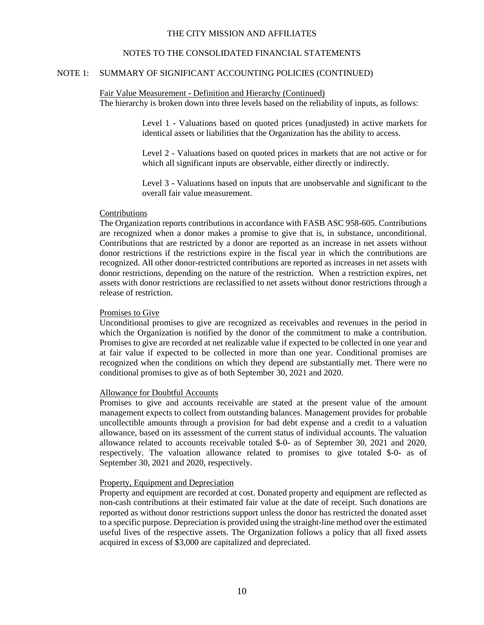#### NOTES TO THE CONSOLIDATED FINANCIAL STATEMENTS

## NOTE 1: SUMMARY OF SIGNIFICANT ACCOUNTING POLICIES (CONTINUED)

#### Fair Value Measurement - Definition and Hierarchy (Continued) The hierarchy is broken down into three levels based on the reliability of inputs, as follows:

Level 1 - Valuations based on quoted prices (unadjusted) in active markets for identical assets or liabilities that the Organization has the ability to access.

Level 2 - Valuations based on quoted prices in markets that are not active or for which all significant inputs are observable, either directly or indirectly.

Level 3 - Valuations based on inputs that are unobservable and significant to the overall fair value measurement.

#### Contributions

The Organization reports contributions in accordance with FASB ASC 958-605. Contributions are recognized when a donor makes a promise to give that is, in substance, unconditional. Contributions that are restricted by a donor are reported as an increase in net assets without donor restrictions if the restrictions expire in the fiscal year in which the contributions are recognized. All other donor-restricted contributions are reported as increases in net assets with donor restrictions, depending on the nature of the restriction. When a restriction expires, net assets with donor restrictions are reclassified to net assets without donor restrictions through a release of restriction.

#### Promises to Give

Unconditional promises to give are recognized as receivables and revenues in the period in which the Organization is notified by the donor of the commitment to make a contribution. Promises to give are recorded at net realizable value if expected to be collected in one year and at fair value if expected to be collected in more than one year. Conditional promises are recognized when the conditions on which they depend are substantially met. There were no conditional promises to give as of both September 30, 2021 and 2020.

#### Allowance for Doubtful Accounts

Promises to give and accounts receivable are stated at the present value of the amount management expects to collect from outstanding balances. Management provides for probable uncollectible amounts through a provision for bad debt expense and a credit to a valuation allowance, based on its assessment of the current status of individual accounts. The valuation allowance related to accounts receivable totaled \$-0- as of September 30, 2021 and 2020, respectively. The valuation allowance related to promises to give totaled \$-0- as of September 30, 2021 and 2020, respectively.

#### Property, Equipment and Depreciation

Property and equipment are recorded at cost. Donated property and equipment are reflected as non-cash contributions at their estimated fair value at the date of receipt. Such donations are reported as without donor restrictions support unless the donor has restricted the donated asset to a specific purpose. Depreciation is provided using the straight-line method over the estimated useful lives of the respective assets. The Organization follows a policy that all fixed assets acquired in excess of \$3,000 are capitalized and depreciated.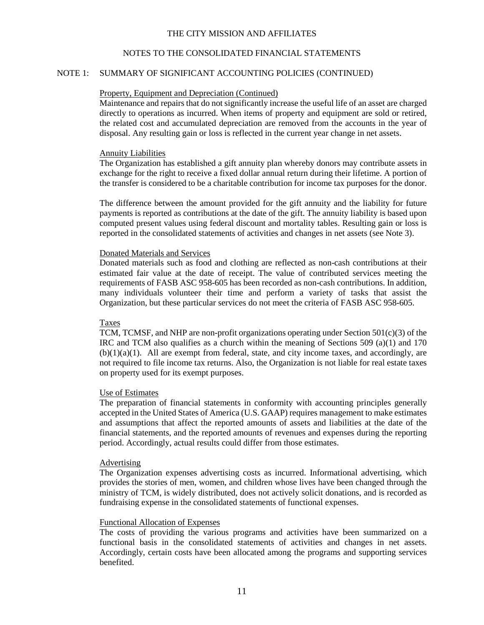#### NOTES TO THE CONSOLIDATED FINANCIAL STATEMENTS

## NOTE 1: SUMMARY OF SIGNIFICANT ACCOUNTING POLICIES (CONTINUED)

#### Property, Equipment and Depreciation (Continued)

Maintenance and repairs that do not significantly increase the useful life of an asset are charged directly to operations as incurred. When items of property and equipment are sold or retired, the related cost and accumulated depreciation are removed from the accounts in the year of disposal. Any resulting gain or loss is reflected in the current year change in net assets.

#### Annuity Liabilities

The Organization has established a gift annuity plan whereby donors may contribute assets in exchange for the right to receive a fixed dollar annual return during their lifetime. A portion of the transfer is considered to be a charitable contribution for income tax purposes for the donor.

The difference between the amount provided for the gift annuity and the liability for future payments is reported as contributions at the date of the gift. The annuity liability is based upon computed present values using federal discount and mortality tables. Resulting gain or loss is reported in the consolidated statements of activities and changes in net assets (see Note 3).

#### Donated Materials and Services

Donated materials such as food and clothing are reflected as non-cash contributions at their estimated fair value at the date of receipt. The value of contributed services meeting the requirements of FASB ASC 958-605 has been recorded as non-cash contributions. In addition, many individuals volunteer their time and perform a variety of tasks that assist the Organization, but these particular services do not meet the criteria of FASB ASC 958-605.

#### Taxes

TCM, TCMSF, and NHP are non-profit organizations operating under Section  $501(c)(3)$  of the IRC and TCM also qualifies as a church within the meaning of Sections 509 (a)(1) and 170  $(b)(1)(a)(1)$ . All are exempt from federal, state, and city income taxes, and accordingly, are not required to file income tax returns. Also, the Organization is not liable for real estate taxes on property used for its exempt purposes.

#### Use of Estimates

The preparation of financial statements in conformity with accounting principles generally accepted in the United States of America (U.S. GAAP) requires management to make estimates and assumptions that affect the reported amounts of assets and liabilities at the date of the financial statements, and the reported amounts of revenues and expenses during the reporting period. Accordingly, actual results could differ from those estimates.

#### Advertising

The Organization expenses advertising costs as incurred. Informational advertising, which provides the stories of men, women, and children whose lives have been changed through the ministry of TCM, is widely distributed, does not actively solicit donations, and is recorded as fundraising expense in the consolidated statements of functional expenses.

## Functional Allocation of Expenses

The costs of providing the various programs and activities have been summarized on a functional basis in the consolidated statements of activities and changes in net assets. Accordingly, certain costs have been allocated among the programs and supporting services benefited.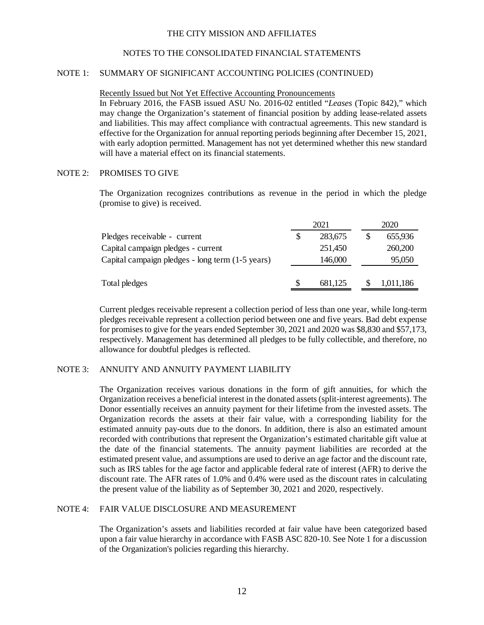#### NOTES TO THE CONSOLIDATED FINANCIAL STATEMENTS

#### NOTE 1: SUMMARY OF SIGNIFICANT ACCOUNTING POLICIES (CONTINUED)

Recently Issued but Not Yet Effective Accounting Pronouncements

In February 2016, the FASB issued ASU No. 2016-02 entitled "*Leases* (Topic 842)," which may change the Organization's statement of financial position by adding lease-related assets and liabilities. This may affect compliance with contractual agreements. This new standard is effective for the Organization for annual reporting periods beginning after December 15, 2021, with early adoption permitted. Management has not yet determined whether this new standard will have a material effect on its financial statements.

#### NOTE 2: PROMISES TO GIVE

The Organization recognizes contributions as revenue in the period in which the pledge (promise to give) is received.

|                                                  |   | 2021    | 2020      |  |  |
|--------------------------------------------------|---|---------|-----------|--|--|
| Pledges receivable - current                     | S | 283,675 | 655,936   |  |  |
| Capital campaign pledges - current               |   | 251,450 | 260,200   |  |  |
| Capital campaign pledges - long term (1-5 years) |   | 146,000 | 95,050    |  |  |
| Total pledges                                    | S | 681,125 | 1,011,186 |  |  |

Current pledges receivable represent a collection period of less than one year, while long-term pledges receivable represent a collection period between one and five years. Bad debt expense for promises to give for the years ended September 30, 2021 and 2020 was \$8,830 and \$57,173, respectively. Management has determined all pledges to be fully collectible, and therefore, no allowance for doubtful pledges is reflected.

#### NOTE 3: ANNUITY AND ANNUITY PAYMENT LIABILITY

The Organization receives various donations in the form of gift annuities, for which the Organization receives a beneficial interest in the donated assets (split-interest agreements). The Donor essentially receives an annuity payment for their lifetime from the invested assets. The Organization records the assets at their fair value, with a corresponding liability for the estimated annuity pay-outs due to the donors. In addition, there is also an estimated amount recorded with contributions that represent the Organization's estimated charitable gift value at the date of the financial statements. The annuity payment liabilities are recorded at the estimated present value, and assumptions are used to derive an age factor and the discount rate, such as IRS tables for the age factor and applicable federal rate of interest (AFR) to derive the discount rate. The AFR rates of 1.0% and 0.4% were used as the discount rates in calculating the present value of the liability as of September 30, 2021 and 2020, respectively.

#### NOTE 4: FAIR VALUE DISCLOSURE AND MEASUREMENT

The Organization's assets and liabilities recorded at fair value have been categorized based upon a fair value hierarchy in accordance with FASB ASC 820-10. See Note 1 for a discussion of the Organization's policies regarding this hierarchy.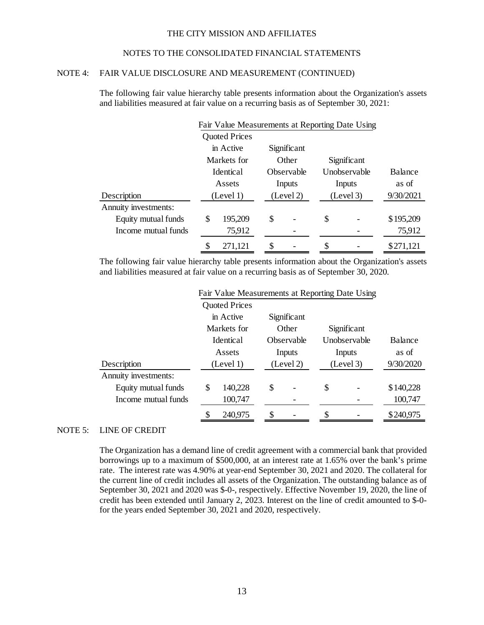## NOTES TO THE CONSOLIDATED FINANCIAL STATEMENTS

## NOTE 4: FAIR VALUE DISCLOSURE AND MEASUREMENT (CONTINUED)

The following fair value hierarchy table presents information about the Organization's assets and liabilities measured at fair value on a recurring basis as of September 30, 2021:

|                      | Fair Value Measurements at Reporting Date Using |                      |    |             |    |              |           |  |
|----------------------|-------------------------------------------------|----------------------|----|-------------|----|--------------|-----------|--|
|                      |                                                 | <b>Quoted Prices</b> |    |             |    |              |           |  |
|                      |                                                 | in Active            |    | Significant |    |              |           |  |
|                      |                                                 | Markets for          |    | Other       |    | Significant  |           |  |
|                      |                                                 | Identical            |    | Observable  |    | Unobservable | Balance   |  |
|                      |                                                 | Assets               |    | Inputs      |    | Inputs       | as of     |  |
| Description          |                                                 | (Level 1)            |    | (Level 2)   |    | (Level 3)    | 9/30/2021 |  |
| Annuity investments: |                                                 |                      |    |             |    |              |           |  |
| Equity mutual funds  | \$                                              | 195,209              | \$ |             | \$ |              | \$195,209 |  |
| Income mutual funds  |                                                 | 75,912               |    |             |    |              | 75,912    |  |
|                      |                                                 | 271,121              | \$ |             | \$ |              | \$271,121 |  |

The following fair value hierarchy table presents information about the Organization's assets and liabilities measured at fair value on a recurring basis as of September 30, 2020.

|                      | Fair Value Measurements at Reporting Date Using |                      |    |             |    |                     |           |  |
|----------------------|-------------------------------------------------|----------------------|----|-------------|----|---------------------|-----------|--|
|                      |                                                 | <b>Quoted Prices</b> |    |             |    |                     |           |  |
|                      |                                                 | in Active            |    | Significant |    |                     |           |  |
|                      |                                                 | Markets for          |    | Other       |    | Significant         |           |  |
|                      | <b>I</b> dentical                               |                      |    | Observable  |    | <b>Unobservable</b> | Balance   |  |
|                      |                                                 | Assets               |    | Inputs      |    | Inputs              | as of     |  |
| Description          |                                                 | (Level 1)            |    | (Level 2)   |    | (Level 3)           | 9/30/2020 |  |
| Annuity investments: |                                                 |                      |    |             |    |                     |           |  |
| Equity mutual funds  | \$                                              | 140,228              | \$ |             | \$ |                     | \$140,228 |  |
| Income mutual funds  |                                                 | 100,747              |    |             |    |                     | 100,747   |  |
|                      |                                                 | 240,975              | \$ |             | \$ |                     | \$240,975 |  |

## NOTE 5: LINE OF CREDIT

The Organization has a demand line of credit agreement with a commercial bank that provided borrowings up to a maximum of \$500,000, at an interest rate at 1.65% over the bank's prime rate. The interest rate was 4.90% at year-end September 30, 2021 and 2020. The collateral for the current line of credit includes all assets of the Organization. The outstanding balance as of September 30, 2021 and 2020 was \$-0-, respectively. Effective November 19, 2020, the line of credit has been extended until January 2, 2023. Interest on the line of credit amounted to \$-0 for the years ended September 30, 2021 and 2020, respectively.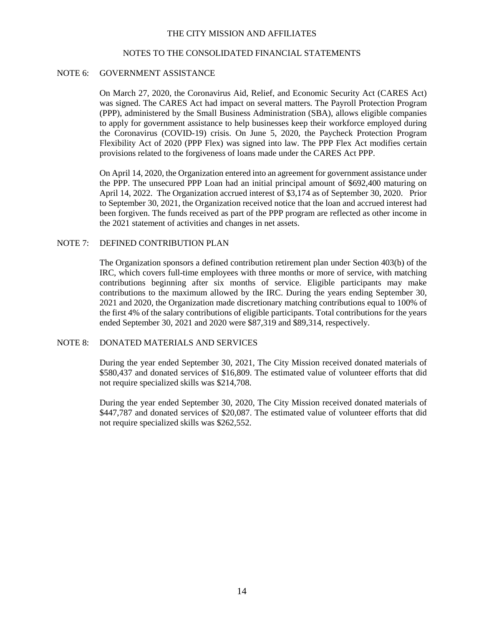#### NOTES TO THE CONSOLIDATED FINANCIAL STATEMENTS

#### NOTE 6: GOVERNMENT ASSISTANCE

On March 27, 2020, the Coronavirus Aid, Relief, and Economic Security Act (CARES Act) was signed. The CARES Act had impact on several matters. The Payroll Protection Program (PPP), administered by the Small Business Administration (SBA), allows eligible companies to apply for government assistance to help businesses keep their workforce employed during the Coronavirus (COVID-19) crisis. On June 5, 2020, the Paycheck Protection Program Flexibility Act of 2020 (PPP Flex) was signed into law. The PPP Flex Act modifies certain provisions related to the forgiveness of loans made under the CARES Act PPP.

On April 14, 2020, the Organization entered into an agreement for government assistance under the PPP. The unsecured PPP Loan had an initial principal amount of \$692,400 maturing on April 14, 2022. The Organization accrued interest of \$3,174 as of September 30, 2020. Prior to September 30, 2021, the Organization received notice that the loan and accrued interest had been forgiven. The funds received as part of the PPP program are reflected as other income in the 2021 statement of activities and changes in net assets.

#### NOTE 7: DEFINED CONTRIBUTION PLAN

The Organization sponsors a defined contribution retirement plan under Section 403(b) of the IRC, which covers full-time employees with three months or more of service, with matching contributions beginning after six months of service. Eligible participants may make contributions to the maximum allowed by the IRC. During the years ending September 30, 2021 and 2020, the Organization made discretionary matching contributions equal to 100% of the first 4% of the salary contributions of eligible participants. Total contributions for the years ended September 30, 2021 and 2020 were \$87,319 and \$89,314, respectively.

## NOTE 8: DONATED MATERIALS AND SERVICES

During the year ended September 30, 2021, The City Mission received donated materials of \$580,437 and donated services of \$16,809. The estimated value of volunteer efforts that did not require specialized skills was \$214,708.

During the year ended September 30, 2020, The City Mission received donated materials of \$447,787 and donated services of \$20,087. The estimated value of volunteer efforts that did not require specialized skills was \$262,552.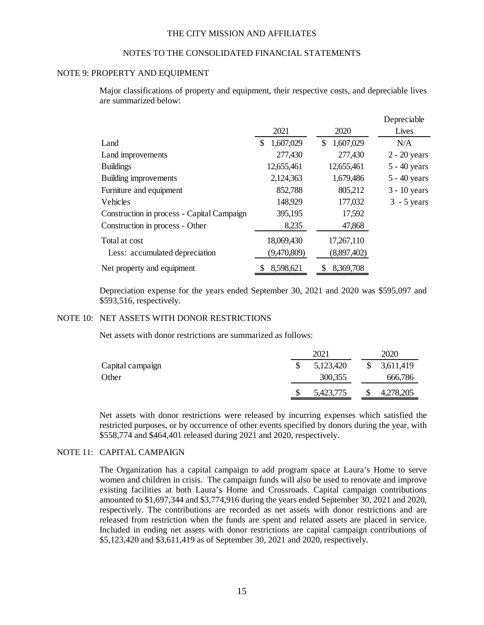#### NOTES TO THE CONSOLIDATED FINANCIAL STATEMENTS

#### NOTE 9: PROPERTY AND EQUIPMENT

Major classifications of property and equipment, their respective costs, and depreciable lives are summarized below:

|                                            |                 |                 | Depreciable    |
|--------------------------------------------|-----------------|-----------------|----------------|
|                                            | 2021            | 2020            | Lives          |
| Land                                       | 1,607,029<br>\$ | 1,607,029<br>\$ | N/A            |
| Land improvements                          | 277,430         | 277,430         | $2 - 20$ years |
| <b>Buildings</b>                           | 12,655,461      | 12,655,461      | $5 - 40$ years |
| <b>Building improvements</b>               | 2,124,363       | 1,679,486       | $5 - 40$ years |
| Furniture and equipment                    | 852,788         | 805,212         | $3 - 10$ years |
| Vehicles                                   | 148,929         | 177,032         | $3 - 5$ years  |
| Construction in process - Capital Campaign | 395,195         | 17,592          |                |
| Construction in process - Other            | 8,235           | 47,868          |                |
| Total at cost                              | 18,069,430      | 17,267,110      |                |
| Less: accumulated depreciation             | (9,470,809)     | (8,897,402)     |                |
| Net property and equipment                 | 8,598,621       | 8,369,708       |                |

Depreciation expense for the years ended September 30, 2021 and 2020 was \$595,097 and \$593,516, respectively.

## NOTE 10: NET ASSETS WITH DONOR RESTRICTIONS

Net assets with donor restrictions are summarized as follows:

|                  | 2021      |               | 2020      |
|------------------|-----------|---------------|-----------|
| Capital campaign | 5,123,420 | <sup>\$</sup> | 3,611,419 |
| Other            | 300,355   |               | 666,786   |
|                  | 5,423,775 |               | 4,278,205 |

Net assets with donor restrictions were released by incurring expenses which satisfied the restricted purposes, or by occurrence of other events specified by donors during the year, with \$558,774 and \$464,401 released during 2021 and 2020, respectively.

#### NOTE 11: CAPITAL CAMPAIGN

The Organization has a capital campaign to add program space at Laura's Home to serve women and children in crisis. The campaign funds will also be used to renovate and improve existing facilities at both Laura's Home and Crossroads. Capital campaign contributions amounted to \$1,697,344 and \$3,774,916 during the years ended September 30, 2021 and 2020, respectively. The contributions are recorded as net assets with donor restrictions and are released from restriction when the funds are spent and related assets are placed in service. Included in ending net assets with donor restrictions are capital campaign contributions of \$5,123,420 and \$3,611,419 as of September 30, 2021 and 2020, respectively.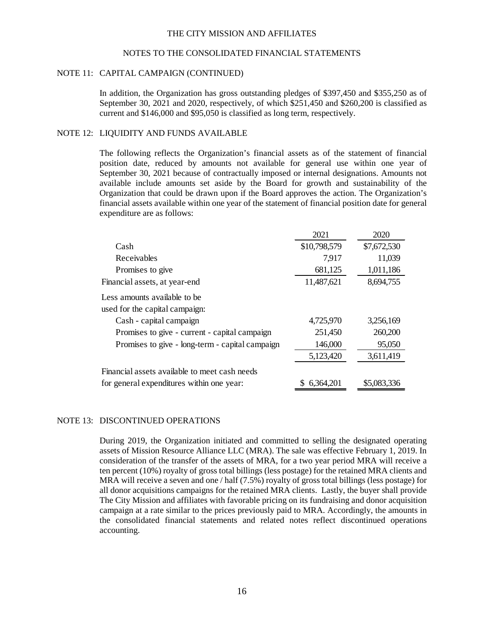#### NOTES TO THE CONSOLIDATED FINANCIAL STATEMENTS

#### NOTE 11: CAPITAL CAMPAIGN (CONTINUED)

In addition, the Organization has gross outstanding pledges of \$397,450 and \$355,250 as of September 30, 2021 and 2020, respectively, of which \$251,450 and \$260,200 is classified as current and \$146,000 and \$95,050 is classified as long term, respectively.

#### NOTE 12: LIQUIDITY AND FUNDS AVAILABLE

The following reflects the Organization's financial assets as of the statement of financial position date, reduced by amounts not available for general use within one year of September 30, 2021 because of contractually imposed or internal designations. Amounts not available include amounts set aside by the Board for growth and sustainability of the Organization that could be drawn upon if the Board approves the action. The Organization's financial assets available within one year of the statement of financial position date for general expenditure are as follows:

|                                                 | 2021         | 2020        |
|-------------------------------------------------|--------------|-------------|
| Cash                                            | \$10,798,579 | \$7,672,530 |
| Receivables                                     | 7,917        | 11,039      |
| Promises to give                                | 681,125      | 1,011,186   |
| Financial assets, at year-end                   | 11,487,621   | 8,694,755   |
| Less amounts available to be                    |              |             |
| used for the capital campaign:                  |              |             |
| Cash - capital campaign                         | 4,725,970    | 3,256,169   |
| Promises to give - current - capital campaign   | 251,450      | 260,200     |
| Promises to give - long-term - capital campaign | 146,000      | 95,050      |
|                                                 | 5,123,420    | 3,611,419   |
| Financial assets available to meet cash needs   |              |             |
| for general expenditures within one year:       | 6,364,201    | \$5,083,336 |

#### NOTE 13: DISCONTINUED OPERATIONS

During 2019, the Organization initiated and committed to selling the designated operating assets of Mission Resource Alliance LLC (MRA). The sale was effective February 1, 2019. In consideration of the transfer of the assets of MRA, for a two year period MRA will receive a ten percent (10%) royalty of gross total billings (less postage) for the retained MRA clients and MRA will receive a seven and one / half (7.5%) royalty of gross total billings (less postage) for all donor acquisitions campaigns for the retained MRA clients. Lastly, the buyer shall provide The City Mission and affiliates with favorable pricing on its fundraising and donor acquisition campaign at a rate similar to the prices previously paid to MRA. Accordingly, the amounts in the consolidated financial statements and related notes reflect discontinued operations accounting.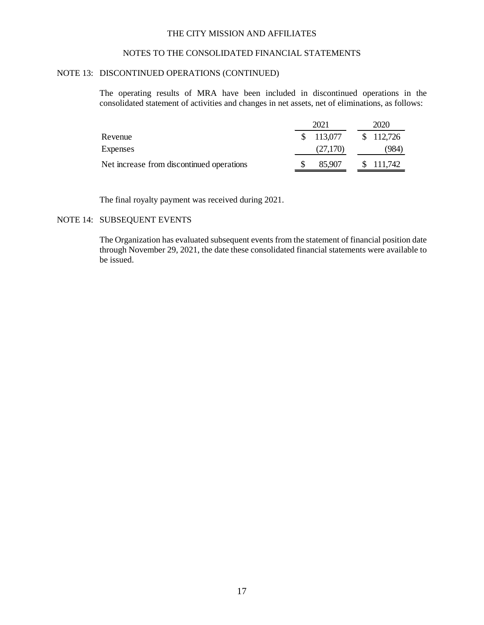## NOTES TO THE CONSOLIDATED FINANCIAL STATEMENTS

#### NOTE 13: DISCONTINUED OPERATIONS (CONTINUED)

The operating results of MRA have been included in discontinued operations in the consolidated statement of activities and changes in net assets, net of eliminations, as follows:

|                                           | 2021 |            |  |  | 2020      |  |  |
|-------------------------------------------|------|------------|--|--|-----------|--|--|
| Revenue                                   |      | \$ 113,077 |  |  | \$112,726 |  |  |
| <b>Expenses</b>                           |      | (27,170)   |  |  | '984`     |  |  |
| Net increase from discontinued operations |      | 85,907     |  |  | \$111,742 |  |  |

The final royalty payment was received during 2021.

#### NOTE 14: SUBSEQUENT EVENTS

The Organization has evaluated subsequent events from the statement of financial position date through November 29, 2021, the date these consolidated financial statements were available to be issued.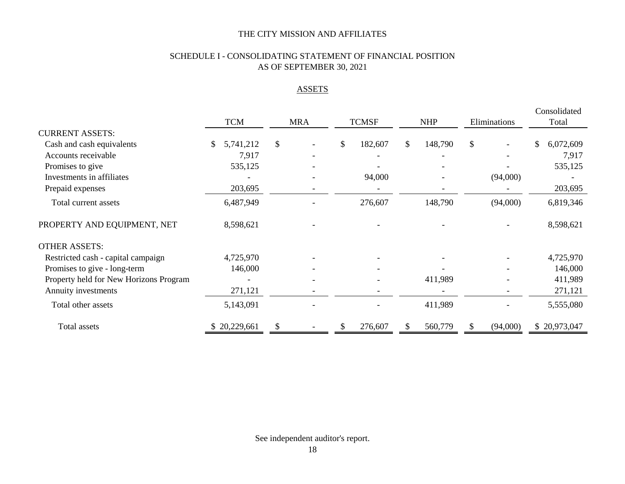# SCHEDULE I - CONSOLIDATING STATEMENT OF FINANCIAL POSITION AS OF SEPTEMBER 30, 2021

# **ASSETS**

|                                        |                          |    |            |               |               |         |              |          |       | Consolidated |
|----------------------------------------|--------------------------|----|------------|---------------|---------------|---------|--------------|----------|-------|--------------|
|                                        | <b>TCM</b>               |    | <b>MRA</b> | <b>TCMSF</b>  | <b>NHP</b>    |         | Eliminations |          | Total |              |
| <b>CURRENT ASSETS:</b>                 |                          |    |            |               |               |         |              |          |       |              |
| Cash and cash equivalents              | 5,741,212                | \$ |            | \$<br>182,607 | $\frac{1}{2}$ | 148,790 | \$           |          | \$    | 6,072,609    |
| Accounts receivable                    | 7,917                    |    |            |               |               |         |              |          |       | 7,917        |
| Promises to give                       | 535,125                  |    |            |               |               |         |              |          |       | 535,125      |
| Investments in affiliates              |                          |    |            | 94,000        |               |         |              | (94,000) |       |              |
| Prepaid expenses                       | 203,695                  |    |            |               |               |         |              |          |       | 203,695      |
| Total current assets                   | 6,487,949                |    |            | 276,607       |               | 148,790 |              | (94,000) |       | 6,819,346    |
| PROPERTY AND EQUIPMENT, NET            | 8,598,621                |    |            |               |               |         |              |          |       | 8,598,621    |
| <b>OTHER ASSETS:</b>                   |                          |    |            |               |               |         |              |          |       |              |
| Restricted cash - capital campaign     | 4,725,970                |    |            |               |               |         |              |          |       | 4,725,970    |
| Promises to give - long-term           | 146,000                  |    |            |               |               |         |              |          |       | 146,000      |
| Property held for New Horizons Program | $\overline{\phantom{a}}$ |    |            |               |               | 411,989 |              |          |       | 411,989      |
| Annuity investments                    | 271,121                  |    |            |               |               |         |              |          |       | 271,121      |
| Total other assets                     | 5,143,091                |    |            |               |               | 411,989 |              |          |       | 5,555,080    |
| Total assets                           | 20,229,661               | S  |            | \$<br>276,607 |               | 560,779 | <b>S</b>     | (94,000) |       | \$20,973,047 |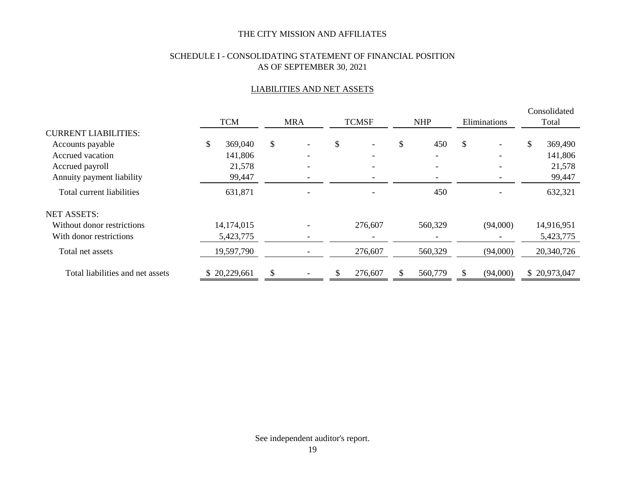# SCHEDULE I - CONSOLIDATING STATEMENT OF FINANCIAL POSITION AS OF SEPTEMBER 30, 2021

## LIABILITIES AND NET ASSETS

|                                  |               |                          |    |              |            |              | Consolidated  |
|----------------------------------|---------------|--------------------------|----|--------------|------------|--------------|---------------|
|                                  | <b>TCM</b>    | <b>MRA</b>               |    | <b>TCMSF</b> | <b>NHP</b> | Eliminations | Total         |
| <b>CURRENT LIABILITIES:</b>      |               |                          |    |              |            |              |               |
| Accounts payable                 | \$<br>369,040 | \$<br>$\qquad \qquad -$  | \$ |              | \$<br>450  | \$           | \$<br>369,490 |
| Accrued vacation                 | 141,806       | $\overline{\phantom{0}}$ |    |              |            |              | 141,806       |
| Accrued payroll                  | 21,578        |                          |    |              |            |              | 21,578        |
| Annuity payment liability        | 99,447        |                          |    |              |            |              | 99,447        |
| Total current liabilities        | 631,871       |                          |    |              | 450        |              | 632,321       |
| <b>NET ASSETS:</b>               |               |                          |    |              |            |              |               |
| Without donor restrictions       | 14,174,015    |                          |    | 276,607      | 560,329    | (94,000)     | 14,916,951    |
| With donor restrictions          | 5,423,775     |                          |    |              |            |              | 5,423,775     |
| Total net assets                 | 19,597,790    |                          |    | 276,607      | 560,329    | (94,000)     | 20,340,726    |
| Total liabilities and net assets | \$20,229,661  |                          | S  | 276,607      | 560,779    | (94,000)     | \$20,973,047  |